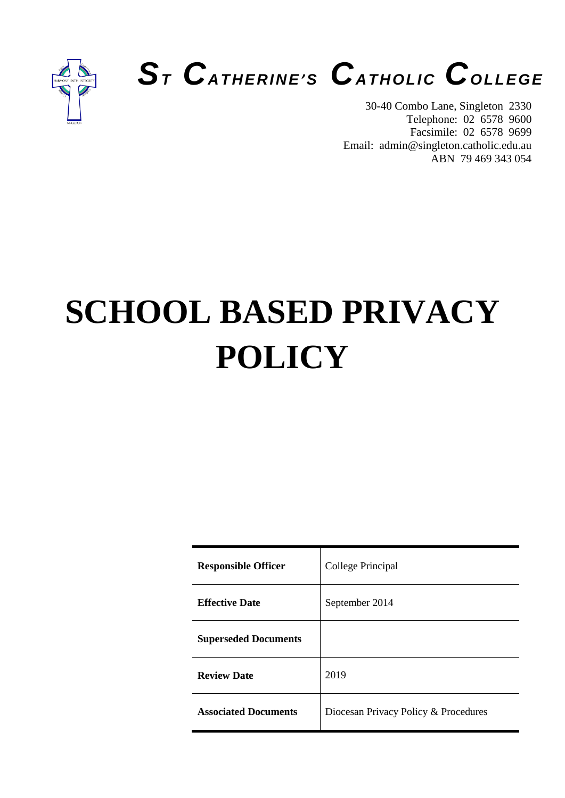



30-40 Combo Lane, Singleton 2330 Telephone: 02 6578 9600 Facsimile: 02 6578 9699 Email: admin@singleton.catholic.edu.au ABN 79 469 343 054

# **SCHOOL BASED PRIVACY POLICY**

| <b>Responsible Officer</b>  | College Principal                    |
|-----------------------------|--------------------------------------|
| <b>Effective Date</b>       | September 2014                       |
| <b>Superseded Documents</b> |                                      |
| <b>Review Date</b>          | 2019                                 |
| <b>Associated Documents</b> | Diocesan Privacy Policy & Procedures |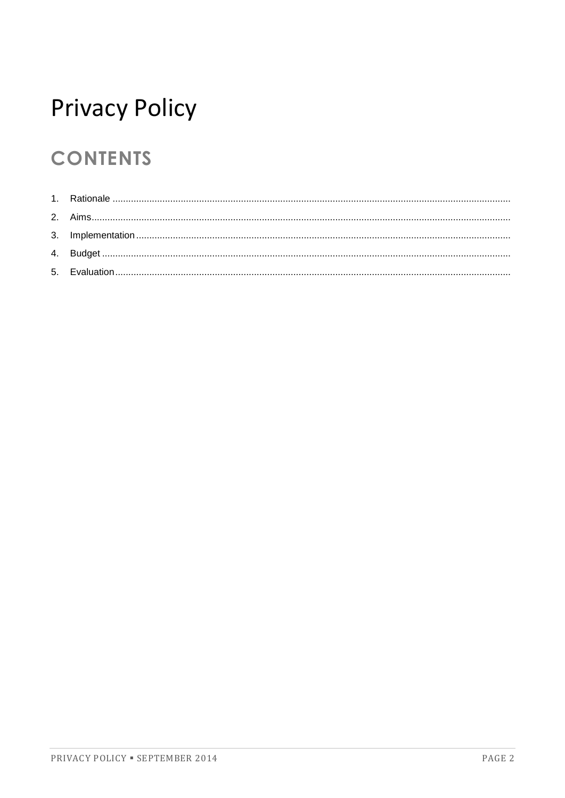## **Privacy Policy**

## **CONTENTS**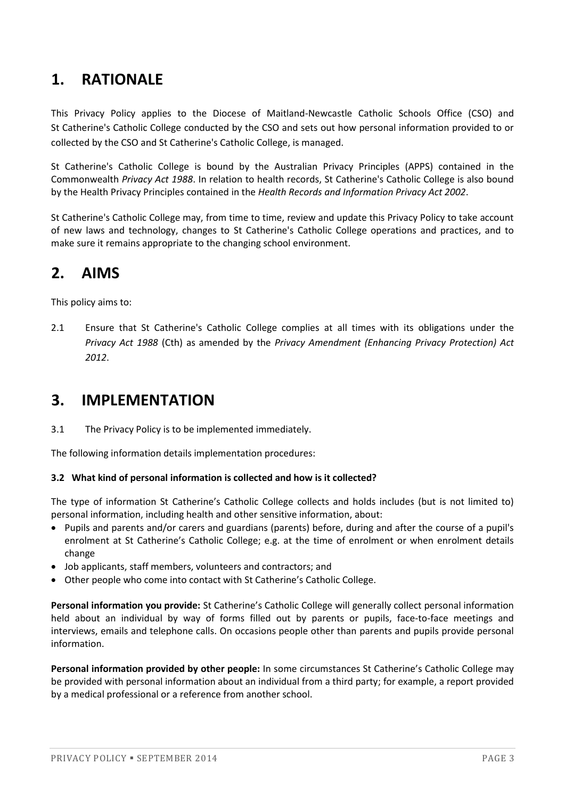## **1. RATIONALE**

This Privacy Policy applies to the Diocese of Maitland-Newcastle Catholic Schools Office (CSO) and St Catherine's Catholic College conducted by the CSO and sets out how personal information provided to or collected by the CSO and St Catherine's Catholic College, is managed.

St Catherine's Catholic College is bound by the Australian Privacy Principles (APPS) contained in the Commonwealth *Privacy Act 1988*. In relation to health records, St Catherine's Catholic College is also bound by the Health Privacy Principles contained in the *Health Records and Information Privacy Act 2002*.

St Catherine's Catholic College may, from time to time, review and update this Privacy Policy to take account of new laws and technology, changes to St Catherine's Catholic College operations and practices, and to make sure it remains appropriate to the changing school environment.

### **2. AIMS**

This policy aims to:

2.1 Ensure that St Catherine's Catholic College complies at all times with its obligations under the *Privacy Act 1988* (Cth) as amended by the *Privacy Amendment (Enhancing Privacy Protection) Act 2012*.

### **3. IMPLEMENTATION**

3.1 The Privacy Policy is to be implemented immediately.

The following information details implementation procedures:

#### **3.2 What kind of personal information is collected and how is it collected?**

The type of information St Catherine's Catholic College collects and holds includes (but is not limited to) personal information, including health and other sensitive information, about:

- Pupils and parents and/or carers and guardians (parents) before, during and after the course of a pupil's enrolment at St Catherine's Catholic College; e.g. at the time of enrolment or when enrolment details change
- Job applicants, staff members, volunteers and contractors; and
- Other people who come into contact with St Catherine's Catholic College.

**Personal information you provide:** St Catherine's Catholic College will generally collect personal information held about an individual by way of forms filled out by parents or pupils, face-to-face meetings and interviews, emails and telephone calls. On occasions people other than parents and pupils provide personal information.

**Personal information provided by other people:** In some circumstances St Catherine's Catholic College may be provided with personal information about an individual from a third party; for example, a report provided by a medical professional or a reference from another school.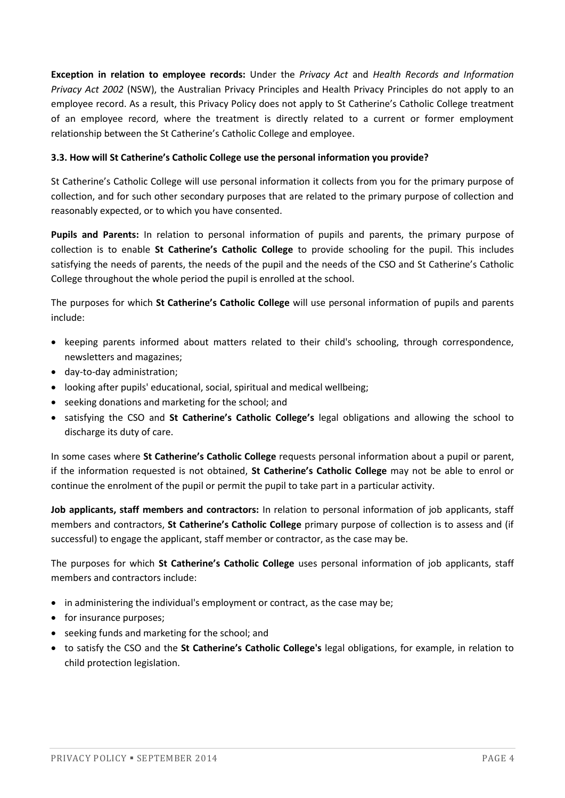**Exception in relation to employee records:** Under the *Privacy Act* and *Health Records and Information Privacy Act 2002* (NSW), the Australian Privacy Principles and Health Privacy Principles do not apply to an employee record. As a result, this Privacy Policy does not apply to St Catherine's Catholic College treatment of an employee record, where the treatment is directly related to a current or former employment relationship between the St Catherine's Catholic College and employee.

#### **3.3. How will St Catherine's Catholic College use the personal information you provide?**

St Catherine's Catholic College will use personal information it collects from you for the primary purpose of collection, and for such other secondary purposes that are related to the primary purpose of collection and reasonably expected, or to which you have consented.

**Pupils and Parents:** In relation to personal information of pupils and parents, the primary purpose of collection is to enable **St Catherine's Catholic College** to provide schooling for the pupil. This includes satisfying the needs of parents, the needs of the pupil and the needs of the CSO and St Catherine's Catholic College throughout the whole period the pupil is enrolled at the school.

The purposes for which **St Catherine's Catholic College** will use personal information of pupils and parents include:

- keeping parents informed about matters related to their child's schooling, through correspondence, newsletters and magazines;
- day-to-day administration;
- looking after pupils' educational, social, spiritual and medical wellbeing;
- seeking donations and marketing for the school; and
- satisfying the CSO and **St Catherine's Catholic College's** legal obligations and allowing the school to discharge its duty of care.

In some cases where **St Catherine's Catholic College** requests personal information about a pupil or parent, if the information requested is not obtained, **St Catherine's Catholic College** may not be able to enrol or continue the enrolment of the pupil or permit the pupil to take part in a particular activity.

**Job applicants, staff members and contractors:** In relation to personal information of job applicants, staff members and contractors, **St Catherine's Catholic College** primary purpose of collection is to assess and (if successful) to engage the applicant, staff member or contractor, as the case may be.

The purposes for which **St Catherine's Catholic College** uses personal information of job applicants, staff members and contractors include:

- in administering the individual's employment or contract, as the case may be;
- for insurance purposes;
- seeking funds and marketing for the school; and
- to satisfy the CSO and the **St Catherine's Catholic College's** legal obligations, for example, in relation to child protection legislation.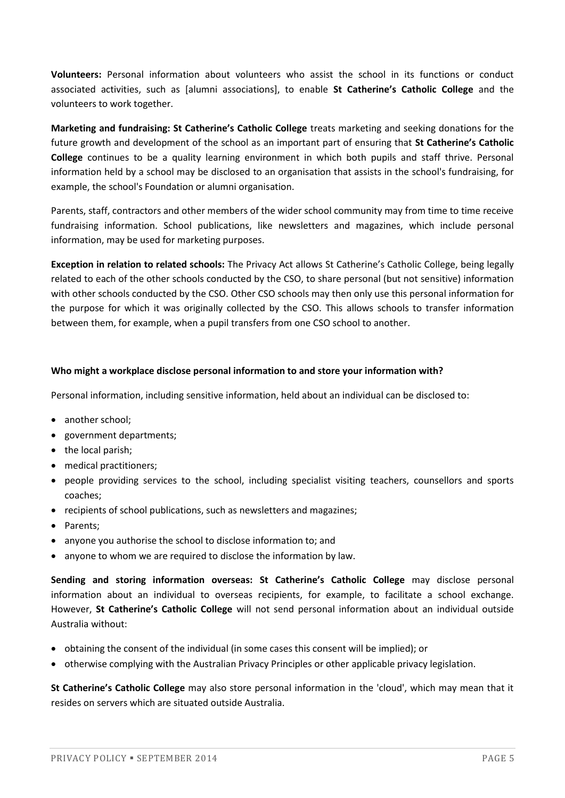**Volunteers:** Personal information about volunteers who assist the school in its functions or conduct associated activities, such as [alumni associations], to enable **St Catherine's Catholic College** and the volunteers to work together.

**Marketing and fundraising: St Catherine's Catholic College** treats marketing and seeking donations for the future growth and development of the school as an important part of ensuring that **St Catherine's Catholic College** continues to be a quality learning environment in which both pupils and staff thrive. Personal information held by a school may be disclosed to an organisation that assists in the school's fundraising, for example, the school's Foundation or alumni organisation.

Parents, staff, contractors and other members of the wider school community may from time to time receive fundraising information. School publications, like newsletters and magazines, which include personal information, may be used for marketing purposes.

**Exception in relation to related schools:** The Privacy Act allows St Catherine's Catholic College, being legally related to each of the other schools conducted by the CSO, to share personal (but not sensitive) information with other schools conducted by the CSO. Other CSO schools may then only use this personal information for the purpose for which it was originally collected by the CSO. This allows schools to transfer information between them, for example, when a pupil transfers from one CSO school to another.

#### **Who might a workplace disclose personal information to and store your information with?**

Personal information, including sensitive information, held about an individual can be disclosed to:

- another school;
- government departments;
- the local parish;
- medical practitioners;
- people providing services to the school, including specialist visiting teachers, counsellors and sports coaches;
- recipients of school publications, such as newsletters and magazines;
- Parents:
- anyone you authorise the school to disclose information to; and
- anyone to whom we are required to disclose the information by law.

**Sending and storing information overseas: St Catherine's Catholic College** may disclose personal information about an individual to overseas recipients, for example, to facilitate a school exchange. However, **St Catherine's Catholic College** will not send personal information about an individual outside Australia without:

- obtaining the consent of the individual (in some cases this consent will be implied); or
- otherwise complying with the Australian Privacy Principles or other applicable privacy legislation.

**St Catherine's Catholic College** may also store personal information in the 'cloud', which may mean that it resides on servers which are situated outside Australia.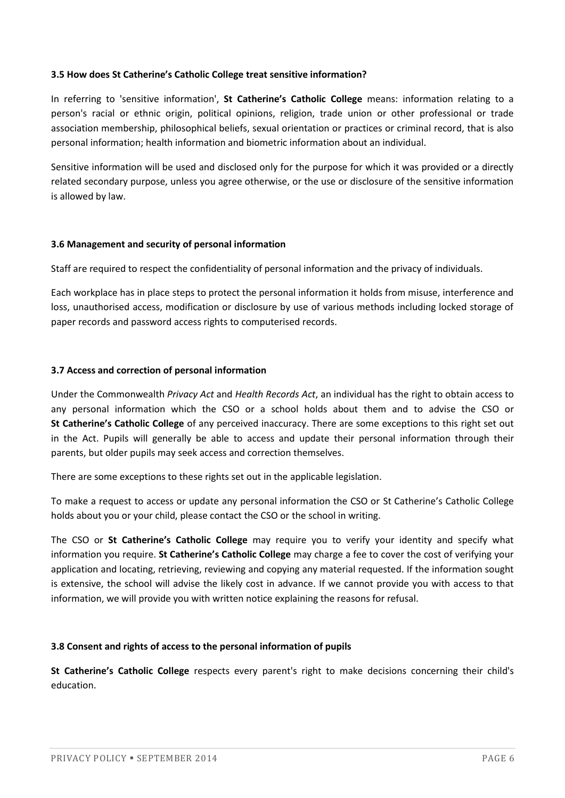#### **3.5 How does St Catherine's Catholic College treat sensitive information?**

In referring to 'sensitive information', **St Catherine's Catholic College** means: information relating to a person's racial or ethnic origin, political opinions, religion, trade union or other professional or trade association membership, philosophical beliefs, sexual orientation or practices or criminal record, that is also personal information; health information and biometric information about an individual.

Sensitive information will be used and disclosed only for the purpose for which it was provided or a directly related secondary purpose, unless you agree otherwise, or the use or disclosure of the sensitive information is allowed by law.

#### **3.6 Management and security of personal information**

Staff are required to respect the confidentiality of personal information and the privacy of individuals.

Each workplace has in place steps to protect the personal information it holds from misuse, interference and loss, unauthorised access, modification or disclosure by use of various methods including locked storage of paper records and password access rights to computerised records.

#### **3.7 Access and correction of personal information**

Under the Commonwealth *Privacy Act* and *Health Records Act*, an individual has the right to obtain access to any personal information which the CSO or a school holds about them and to advise the CSO or **St Catherine's Catholic College** of any perceived inaccuracy. There are some exceptions to this right set out in the Act. Pupils will generally be able to access and update their personal information through their parents, but older pupils may seek access and correction themselves.

There are some exceptions to these rights set out in the applicable legislation.

To make a request to access or update any personal information the CSO or St Catherine's Catholic College holds about you or your child, please contact the CSO or the school in writing.

The CSO or **St Catherine's Catholic College** may require you to verify your identity and specify what information you require. **St Catherine's Catholic College** may charge a fee to cover the cost of verifying your application and locating, retrieving, reviewing and copying any material requested. If the information sought is extensive, the school will advise the likely cost in advance. If we cannot provide you with access to that information, we will provide you with written notice explaining the reasons for refusal.

#### **3.8 Consent and rights of access to the personal information of pupils**

**St Catherine's Catholic College** respects every parent's right to make decisions concerning their child's education.